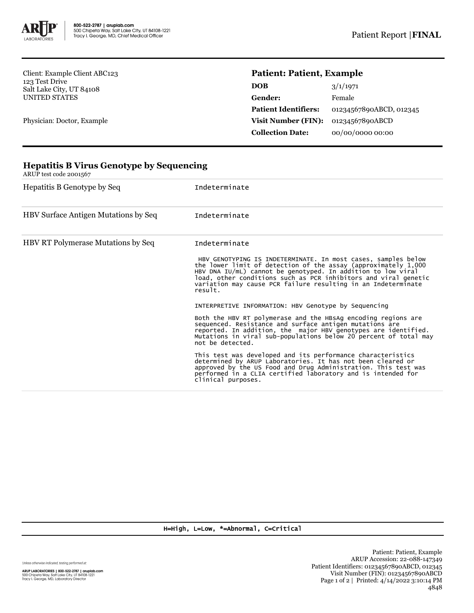

Client: Example Client ABC123 123 Test Drive Salt Lake City, UT 84108 UNITED STATES

Physician: Doctor, Example

## **Patient: Patient, Example**

| <b>DOB</b>                  | 3/1/1971                |
|-----------------------------|-------------------------|
| Gender:                     | Female                  |
| <b>Patient Identifiers:</b> | 01234567890ABCD, 012345 |
| <b>Visit Number (FIN):</b>  | 01234567890ABCD         |
| <b>Collection Date:</b>     | 00/00/0000 00:00        |

| ARUP test code 2001567                    |                                                                                                                                                                                                                                                                                                                                                |  |  |  |
|-------------------------------------------|------------------------------------------------------------------------------------------------------------------------------------------------------------------------------------------------------------------------------------------------------------------------------------------------------------------------------------------------|--|--|--|
| Hepatitis B Genotype by Seq               | Indeterminate                                                                                                                                                                                                                                                                                                                                  |  |  |  |
| HBV Surface Antigen Mutations by Seq      | Indeterminate                                                                                                                                                                                                                                                                                                                                  |  |  |  |
| <b>HBV RT Polymerase Mutations by Seq</b> | Indeterminate                                                                                                                                                                                                                                                                                                                                  |  |  |  |
|                                           | HBV GENOTYPING IS INDETERMINATE. In most cases, samples below<br>the lower limit of detection of the assay (approximately 1,000<br>HBV DNA IU/mL) cannot be genotyped. In addition to low viral<br>load, other conditions such as PCR inhibitors and viral genetic<br>variation may cause PCR failure resulting in an Indeterminate<br>result. |  |  |  |
|                                           | INTERPRETIVE INFORMATION: HBV Genotype by Sequencing                                                                                                                                                                                                                                                                                           |  |  |  |
|                                           | Both the HBV RT polymerase and the HBsAg encoding regions are<br>sequenced. Resistance and surface antigen mutations are<br>reported. In addition, the major HBV genotypes are identified.<br>Mutations in viral sub-populations below 20 percent of total may<br>not be detected.                                                             |  |  |  |
|                                           | This test was developed and its performance characteristics<br>determined by ARUP Laboratories. It has not been cleared or<br>approved by the US Food and Drug Administration. This test was<br>performed in a CLIA certified laboratory and is intended for<br>clinical purposes.                                                             |  |  |  |

## **Hepatitis B Virus Genotype by Sequencing**

H=High, L=Low, \*=Abnormal, C=Critical

Unless otherwise indicated, testing performed at: